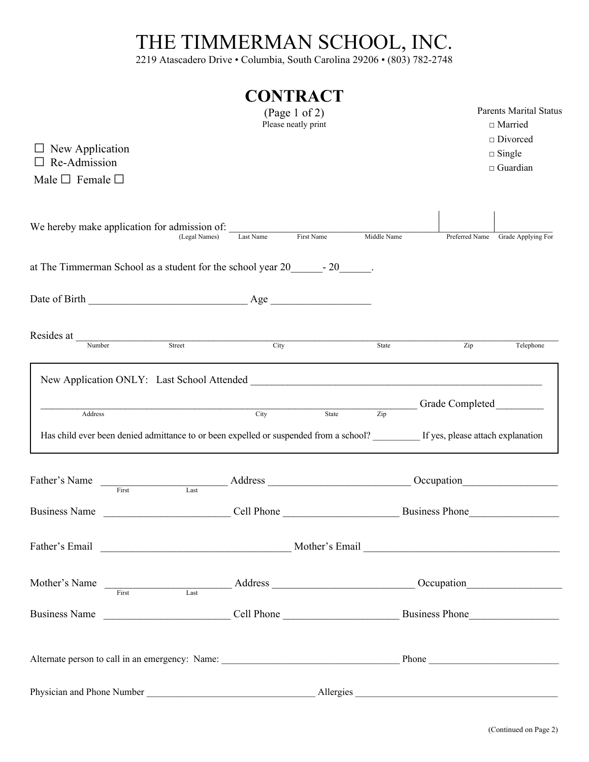## THE TIMMERMAN SCHOOL, INC.

2219 Atascadero Drive • Columbia, South Carolina 29206 • (803) 782-2748

|                                                                                                                                    | <b>CONTRACT</b><br>(Page 1 of 2)<br>Please neatly print |             | <b>Parents Marital Status</b><br>$\Box$ Married        |
|------------------------------------------------------------------------------------------------------------------------------------|---------------------------------------------------------|-------------|--------------------------------------------------------|
| $\Box$ New Application<br>$\Box$ Re-Admission<br>Male $\Box$ Female $\Box$                                                         |                                                         |             | $\Box$ Divorced<br>$\square$ Single<br>$\Box$ Guardian |
| We hereby make application for admission of: Legal Names) Last Name                                                                | First Name                                              | Middle Name | Preferred Name Grade Applying For                      |
| at The Timmerman School as a student for the school year 20 - 20 - 20                                                              |                                                         |             |                                                        |
|                                                                                                                                    |                                                         |             |                                                        |
| Resides at                                                                                                                         | Number Street City                                      | State       | Zip<br>Telephone                                       |
|                                                                                                                                    |                                                         |             |                                                        |
| Address<br>Has child ever been denied admittance to or been expelled or suspended from a school? If yes, please attach explanation | City<br>State                                           | Zip         | Grade Completed                                        |
| Father's Name                                                                                                                      | Address Occupation                                      |             |                                                        |
| First<br><b>Business Name</b>                                                                                                      | Last<br>Cell Phone                                      |             | <b>Business Phone</b>                                  |
|                                                                                                                                    |                                                         |             |                                                        |
| Mother's Name Tirst Last Address Cocupation Cocupation                                                                             |                                                         |             |                                                        |
|                                                                                                                                    |                                                         |             |                                                        |
|                                                                                                                                    |                                                         |             |                                                        |
|                                                                                                                                    |                                                         |             |                                                        |